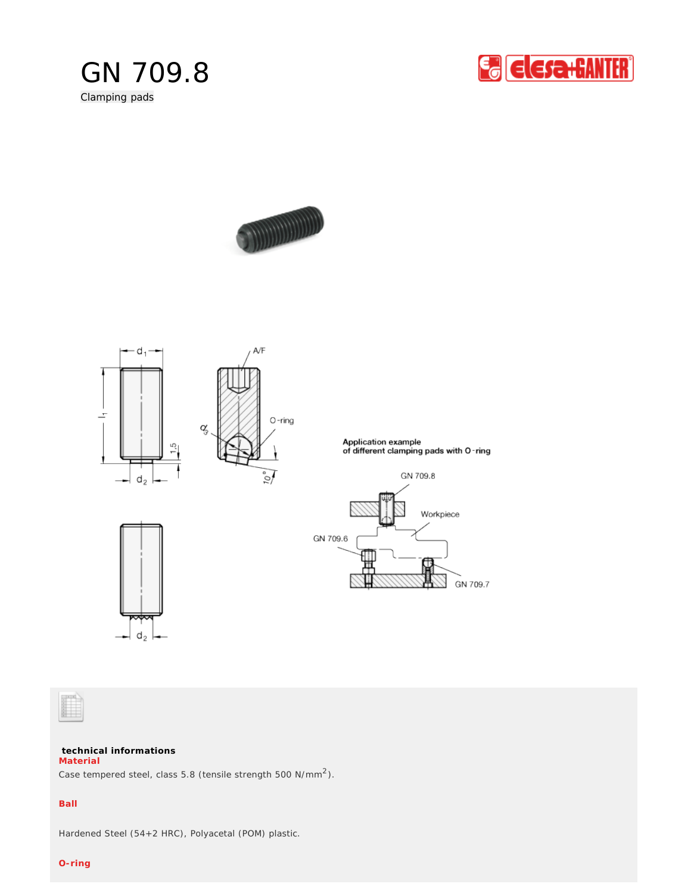

Clamping pads







## **technical informations Material**

Case tempered steel, class 5.8 (tensile strength 500 N/mm<sup>2</sup>).

## **Ball**

Hardened Steel (54+2 HRC), Polyacetal (POM) plastic.